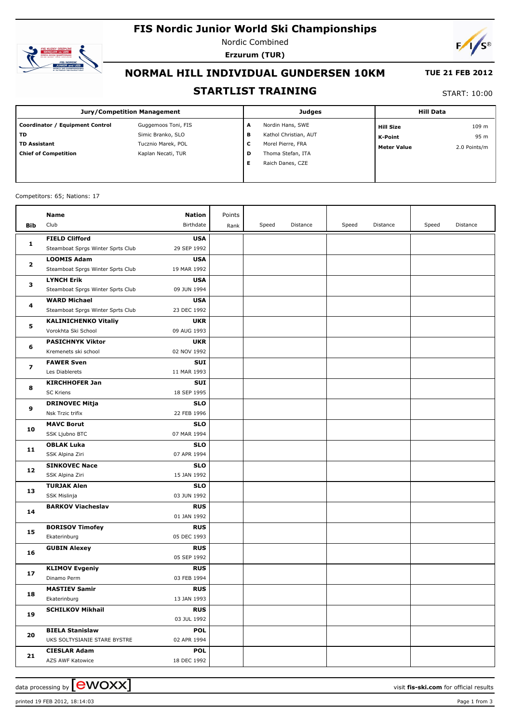# **FIS Nordic Junior World Ski Championships**



Nordic Combined **Erzurum (TUR)**



## **NORMAL HILL INDIVIDUAL GUNDERSEN 10KM**

### **TUE 21 FEB 2012**

### **STARTLIST TRAINING**

START: 10:00

| Jury/Competition Management     |                     |   | <b>Judges</b>         | <b>Hill Data</b>   |              |  |
|---------------------------------|---------------------|---|-----------------------|--------------------|--------------|--|
| Coordinator / Equipment Control | Guggemoos Toni, FIS | A | Nordin Hans, SWE      | <b>Hill Size</b>   | 109 m        |  |
| l TD                            | Simic Branko, SLO   | в | Kathol Christian, AUT | <b>K-Point</b>     | 95 m         |  |
| l TD Assistant                  | Tucznio Marek, POL  | с | Morel Pierre, FRA     | <b>Meter Value</b> | 2.0 Points/m |  |
| <b>Chief of Competition</b>     | Kaplan Necati, TUR  | D | Thoma Stefan, ITA     |                    |              |  |
|                                 |                     | Е | Raich Danes, CZE      |                    |              |  |
|                                 |                     |   |                       |                    |              |  |

#### Competitors: 65; Nations: 17

|                         | Name                                 | <b>Nation</b>             | Points |       |          |       |          |       |          |
|-------------------------|--------------------------------------|---------------------------|--------|-------|----------|-------|----------|-------|----------|
| Bib                     | Club                                 | Birthdate                 | Rank   | Speed | Distance | Speed | Distance | Speed | Distance |
|                         | <b>FIELD Clifford</b>                | <b>USA</b>                |        |       |          |       |          |       |          |
| 1                       | Steamboat Sprgs Winter Sprts Club    | 29 SEP 1992               |        |       |          |       |          |       |          |
| $\mathbf{2}$<br>з<br>4  | <b>LOOMIS Adam</b>                   | <b>USA</b>                |        |       |          |       |          |       |          |
|                         | Steamboat Sprgs Winter Sprts Club    | 19 MAR 1992               |        |       |          |       |          |       |          |
|                         | <b>LYNCH Erik</b>                    | <b>USA</b>                |        |       |          |       |          |       |          |
|                         | Steamboat Sprgs Winter Sprts Club    | 09 JUN 1994               |        |       |          |       |          |       |          |
|                         | <b>WARD Michael</b>                  | <b>USA</b>                |        |       |          |       |          |       |          |
|                         | Steamboat Sprgs Winter Sprts Club    | 23 DEC 1992               |        |       |          |       |          |       |          |
|                         | <b>KALINICHENKO Vitaliy</b>          | <b>UKR</b>                |        |       |          |       |          |       |          |
| 5                       | Vorokhta Ski School                  | 09 AUG 1993               |        |       |          |       |          |       |          |
|                         | <b>PASICHNYK Viktor</b>              | <b>UKR</b>                |        |       |          |       |          |       |          |
| 6                       | Kremenets ski school                 | 02 NOV 1992               |        |       |          |       |          |       |          |
|                         | <b>FAWER Sven</b>                    | <b>SUI</b>                |        |       |          |       |          |       |          |
| $\overline{\mathbf{z}}$ | Les Diablerets                       | 11 MAR 1993               |        |       |          |       |          |       |          |
|                         | <b>KIRCHHOFER Jan</b>                | <b>SUI</b>                |        |       |          |       |          |       |          |
| 8                       | <b>SC Kriens</b>                     | 18 SEP 1995               |        |       |          |       |          |       |          |
| 9                       | <b>DRINOVEC Mitja</b>                | <b>SLO</b>                |        |       |          |       |          |       |          |
|                         | Nsk Trzic trifix                     | 22 FEB 1996               |        |       |          |       |          |       |          |
| 10                      | <b>MAVC Borut</b>                    | <b>SLO</b>                |        |       |          |       |          |       |          |
|                         | SSK Ljubno BTC                       | 07 MAR 1994               |        |       |          |       |          |       |          |
| 11                      | <b>OBLAK Luka</b>                    | <b>SLO</b>                |        |       |          |       |          |       |          |
|                         | SSK Alpina Ziri                      | 07 APR 1994               |        |       |          |       |          |       |          |
| 12                      | <b>SINKOVEC Nace</b>                 | <b>SLO</b>                |        |       |          |       |          |       |          |
|                         | SSK Alpina Ziri                      | 15 JAN 1992               |        |       |          |       |          |       |          |
| 13                      | <b>TURJAK Alen</b>                   | <b>SLO</b>                |        |       |          |       |          |       |          |
|                         | <b>SSK Mislinja</b>                  | 03 JUN 1992               |        |       |          |       |          |       |          |
| 14                      | <b>BARKOV Viacheslav</b>             | <b>RUS</b>                |        |       |          |       |          |       |          |
|                         |                                      | 01 JAN 1992               |        |       |          |       |          |       |          |
| 15                      | <b>BORISOV Timofey</b>               | <b>RUS</b>                |        |       |          |       |          |       |          |
|                         | Ekaterinburg                         | 05 DEC 1993               |        |       |          |       |          |       |          |
| 16                      | <b>GUBIN Alexey</b>                  | <b>RUS</b>                |        |       |          |       |          |       |          |
|                         |                                      | 05 SEP 1992               |        |       |          |       |          |       |          |
| 17                      | <b>KLIMOV Evgeniy</b><br>Dinamo Perm | <b>RUS</b><br>03 FEB 1994 |        |       |          |       |          |       |          |
|                         | <b>MASTIEV Samir</b>                 | <b>RUS</b>                |        |       |          |       |          |       |          |
| 18                      | Ekaterinburg                         | 13 JAN 1993               |        |       |          |       |          |       |          |
|                         | <b>SCHILKOV Mikhail</b>              | <b>RUS</b>                |        |       |          |       |          |       |          |
| 19                      |                                      | 03 JUL 1992               |        |       |          |       |          |       |          |
|                         | <b>BIELA Stanislaw</b>               | <b>POL</b>                |        |       |          |       |          |       |          |
| 20                      | UKS SOLTYSIANIE STARE BYSTRE         | 02 APR 1994               |        |       |          |       |          |       |          |
|                         | <b>CIESLAR Adam</b>                  | <b>POL</b>                |        |       |          |       |          |       |          |
| 21                      | AZS AWF Katowice                     | 18 DEC 1992               |        |       |          |       |          |       |          |
|                         |                                      |                           |        |       |          |       |          |       |          |

printed 19 FEB 2012, 18:14:03 Page 1 from 3

data processing by  $\boxed{\text{ewOX}}$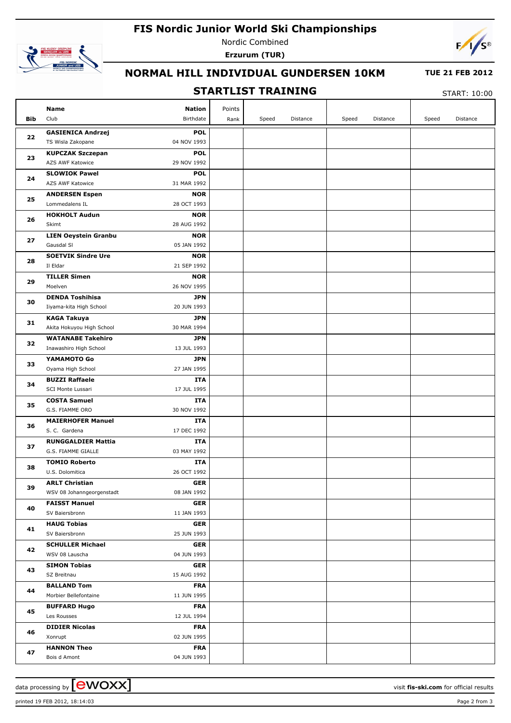# **FIS Nordic Junior World Ski Championships**



Nordic Combined **Erzurum (TUR)**



## **NORMAL HILL INDIVIDUAL GUNDERSEN 10KM**

#### **TUE 21 FEB 2012**

# **STARTLIST TRAINING**

START: 10:00

|     | <b>Nation</b><br>Name                                                  | Points |       |          |       |          |       |          |
|-----|------------------------------------------------------------------------|--------|-------|----------|-------|----------|-------|----------|
| Bib | Birthdate<br>Club                                                      | Rank   | Speed | Distance | Speed | Distance | Speed | Distance |
| 22  | <b>GASIENICA Andrzej</b><br><b>POL</b>                                 |        |       |          |       |          |       |          |
|     | TS Wisla Zakopane<br>04 NOV 1993                                       |        |       |          |       |          |       |          |
|     | <b>KUPCZAK Szczepan</b><br><b>POL</b>                                  |        |       |          |       |          |       |          |
| 23  | AZS AWF Katowice<br>29 NOV 1992                                        |        |       |          |       |          |       |          |
|     | <b>SLOWIOK Pawel</b><br><b>POL</b>                                     |        |       |          |       |          |       |          |
| 24  | AZS AWF Katowice<br>31 MAR 1992                                        |        |       |          |       |          |       |          |
|     | <b>NOR</b><br><b>ANDERSEN Espen</b>                                    |        |       |          |       |          |       |          |
| 25  | Lommedalens IL<br>28 OCT 1993                                          |        |       |          |       |          |       |          |
|     | <b>HOKHOLT Audun</b><br><b>NOR</b>                                     |        |       |          |       |          |       |          |
| 26  | Skimt<br>28 AUG 1992                                                   |        |       |          |       |          |       |          |
|     | <b>LIEN Oeystein Granbu</b><br><b>NOR</b>                              |        |       |          |       |          |       |          |
| 27  | Gausdal SI<br>05 JAN 1992                                              |        |       |          |       |          |       |          |
|     | <b>SOETVIK Sindre Ure</b><br><b>NOR</b>                                |        |       |          |       |          |       |          |
| 28  | Il Eldar<br>21 SEP 1992                                                |        |       |          |       |          |       |          |
|     | <b>TILLER Simen</b><br><b>NOR</b>                                      |        |       |          |       |          |       |          |
| 29  | Moelven<br>26 NOV 1995                                                 |        |       |          |       |          |       |          |
|     | <b>DENDA Toshihisa</b><br><b>JPN</b>                                   |        |       |          |       |          |       |          |
| 30  | Iiyama-kita High School<br>20 JUN 1993                                 |        |       |          |       |          |       |          |
|     | <b>KAGA Takuya</b><br><b>JPN</b>                                       |        |       |          |       |          |       |          |
| 31  | Akita Hokuyou High School<br>30 MAR 1994                               |        |       |          |       |          |       |          |
|     | <b>WATANABE Takehiro</b><br><b>JPN</b>                                 |        |       |          |       |          |       |          |
| 32  | Inawashiro High School<br>13 JUL 1993                                  |        |       |          |       |          |       |          |
|     | YAMAMOTO Go<br><b>JPN</b>                                              |        |       |          |       |          |       |          |
| 33  | 27 JAN 1995<br>Oyama High School                                       |        |       |          |       |          |       |          |
| 34  | <b>BUZZI Raffaele</b><br>ITA                                           |        |       |          |       |          |       |          |
|     | 17 JUL 1995<br>SCI Monte Lussari                                       |        |       |          |       |          |       |          |
| 35  | <b>COSTA Samuel</b><br>ITA                                             |        |       |          |       |          |       |          |
|     | G.S. FIAMME ORO<br>30 NOV 1992                                         |        |       |          |       |          |       |          |
| 36  | <b>MAIERHOFER Manuel</b><br>ITA                                        |        |       |          |       |          |       |          |
|     | S. C. Gardena<br>17 DEC 1992                                           |        |       |          |       |          |       |          |
| 37  | <b>RUNGGALDIER Mattia</b><br>ITA                                       |        |       |          |       |          |       |          |
|     | G.S. FIAMME GIALLE<br>03 MAY 1992                                      |        |       |          |       |          |       |          |
| 38  | <b>TOMIO Roberto</b><br>ITA                                            |        |       |          |       |          |       |          |
|     | 26 OCT 1992<br>U.S. Dolomitica                                         |        |       |          |       |          |       |          |
| 39  | GER<br><b>ARLT Christian</b>                                           |        |       |          |       |          |       |          |
|     | WSV 08 Johanngeorgenstadt<br>08 JAN 1992                               |        |       |          |       |          |       |          |
| 40  | <b>FAISST Manuel</b><br><b>GER</b><br>SV Baiersbronn<br>11 JAN 1993    |        |       |          |       |          |       |          |
|     |                                                                        |        |       |          |       |          |       |          |
| 41  | <b>HAUG Tobias</b><br><b>GER</b><br>SV Baiersbronn<br>25 JUN 1993      |        |       |          |       |          |       |          |
|     |                                                                        |        |       |          |       |          |       |          |
| 42  | <b>SCHULLER Michael</b><br><b>GER</b><br>WSV 08 Lauscha<br>04 JUN 1993 |        |       |          |       |          |       |          |
|     | <b>SIMON Tobias</b><br><b>GER</b>                                      |        |       |          |       |          |       |          |
| 43  | SZ Breitnau<br>15 AUG 1992                                             |        |       |          |       |          |       |          |
|     | <b>BALLAND Tom</b><br><b>FRA</b>                                       |        |       |          |       |          |       |          |
| 44  | Morbier Bellefontaine<br>11 JUN 1995                                   |        |       |          |       |          |       |          |
| 45  | <b>BUFFARD Hugo</b><br><b>FRA</b>                                      |        |       |          |       |          |       |          |
|     | Les Rousses<br>12 JUL 1994                                             |        |       |          |       |          |       |          |
| 46  | <b>DIDIER Nicolas</b><br><b>FRA</b>                                    |        |       |          |       |          |       |          |
|     | Xonrupt<br>02 JUN 1995                                                 |        |       |          |       |          |       |          |
|     | <b>HANNON Theo</b><br><b>FRA</b>                                       |        |       |          |       |          |       |          |
| 47  | 04 JUN 1993<br>Bois d Amont                                            |        |       |          |       |          |       |          |
|     |                                                                        |        |       |          |       |          |       |          |

data processing by  $\boxed{\text{ewOX}}$